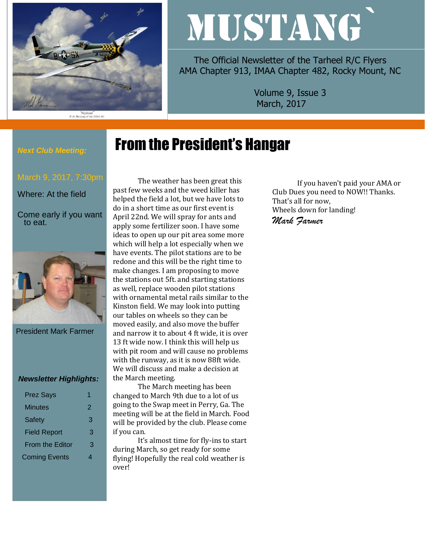

"Slybird"<br>P-51 Mustang of the 353rd FG

# MUSTANG`

The Official Newsletter of the Tarheel R/C Flyers AMA Chapter 913, IMAA Chapter 482, Rocky Mount, NC

> Volume 9, Issue 3 March, 2017

# From the President's Hangar

*Next Club Meeting:*

Where: At the field

Come early if you want to eat.



President Mark Farmer

### *Newsletter Highlights:*

| <b>Prez Says</b>       |   |
|------------------------|---|
| Minutes                | 2 |
| <b>Safety</b>          | 3 |
| <b>Field Report</b>    | З |
| <b>From the Editor</b> | З |
| <b>Coming Events</b>   |   |
|                        |   |

The weather has been great this past few weeks and the weed killer has helped the field a lot, but we have lots to do in a short time as our first event is April 22nd. We will spray for ants and apply some fertilizer soon. I have some ideas to open up our pit area some more which will help a lot especially when we have events. The pilot stations are to be redone and this will be the right time to make changes. I am proposing to move the stations out 5ft. and starting stations as well, replace wooden pilot stations with ornamental metal rails similar to the Kinston field. We may look into putting our tables on wheels so they can be moved easily, and also move the buffer and narrow it to about 4 ft wide, it is over 13 ft wide now. I think this will help us with pit room and will cause no problems with the runway, as it is now 88ft wide. We will discuss and make a decision at the March meeting.

The March meeting has been changed to March 9th due to a lot of us going to the Swap meet in Perry, Ga. The meeting will be at the field in March. Food will be provided by the club. Please come if you can.

It's almost time for fly-ins to start during March, so get ready for some flying! Hopefully the real cold weather is over!

If you haven't paid your AMA or Club Dues you need to NOW!! Thanks. That's all for now, Wheels down for landing! *Mark Farmer*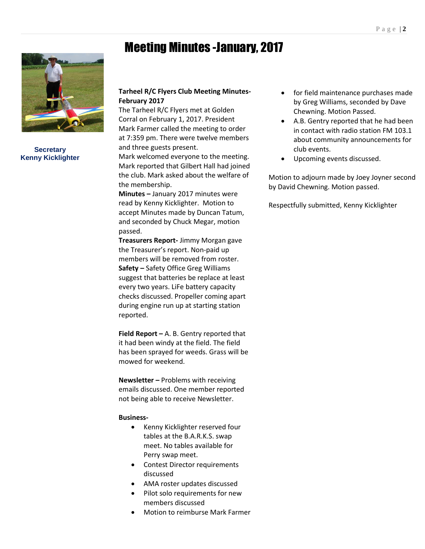## Meeting Minutes -January, 2017



**Secretary Kenny Kicklighter**

## **Tarheel R/C Flyers Club Meeting Minutes-February 2017**

The Tarheel R/C Flyers met at Golden Corral on February 1, 2017. President Mark Farmer called the meeting to order at 7:359 pm. There were twelve members and three guests present.

Mark welcomed everyone to the meeting. Mark reported that Gilbert Hall had joined the club. Mark asked about the welfare of the membership.

**Minutes –** January 2017 minutes were read by Kenny Kicklighter. Motion to accept Minutes made by Duncan Tatum, and seconded by Chuck Megar, motion passed.

**Treasurers Report-** Jimmy Morgan gave the Treasurer's report. Non-paid up members will be removed from roster. **Safety –** Safety Office Greg Williams suggest that batteries be replace at least every two years. LiFe battery capacity checks discussed. Propeller coming apart during engine run up at starting station reported.

**Field Report –** A. B. Gentry reported that it had been windy at the field. The field has been sprayed for weeds. Grass will be mowed for weekend.

**Newsletter –** Problems with receiving emails discussed. One member reported not being able to receive Newsletter.

### **Business-**

- Kenny Kicklighter reserved four tables at the B.A.R.K.S. swap meet. No tables available for Perry swap meet.
- Contest Director requirements discussed
- AMA roster updates discussed
- Pilot solo requirements for new members discussed
- Motion to reimburse Mark Farmer
- for field maintenance purchases made by Greg Williams, seconded by Dave Chewning. Motion Passed.
- A.B. Gentry reported that he had been in contact with radio station FM 103.1 about community announcements for club events.
- Upcoming events discussed.

Motion to adjourn made by Joey Joyner second by David Chewning. Motion passed.

Respectfully submitted, Kenny Kicklighter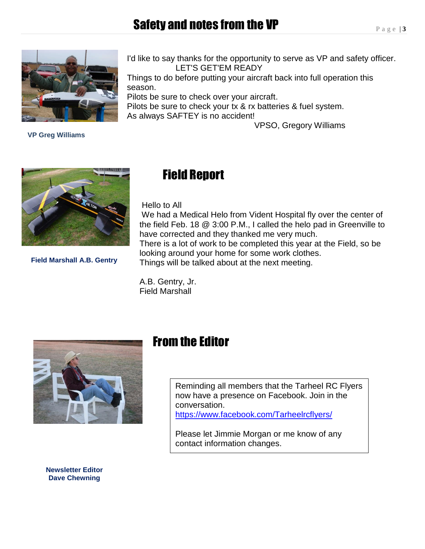## Safety and notes from the VP



I'd like to say thanks for the opportunity to serve as VP and safety officer. LET'S GET'EM READY

Things to do before putting your aircraft back into full operation this season.

Pilots be sure to check over your aircraft. Pilots be sure to check your tx & rx batteries & fuel system. As always SAFTEY is no accident!

VPSO, Gregory Williams

 **VP Greg Williams**



**Field Marshall A.B. Gentry**

## Field Report

Hello to All

We had a Medical Helo from Vident Hospital fly over the center of the field Feb. 18 @ 3:00 P.M., I called the helo pad in Greenville to have corrected and they thanked me very much. There is a lot of work to be completed this year at the Field, so be looking around your home for some work clothes. Things will be talked about at the next meeting.

A.B. Gentry, Jr. Field Marshall



## From the Editor

Reminding all members that the Tarheel RC Flyers now have a presence on Facebook. Join in the conversation. <https://www.facebook.com/Tarheelrcflyers/>

Please let Jimmie Morgan or me know of any contact information changes.

**Newsletter Editor Dave Chewning**